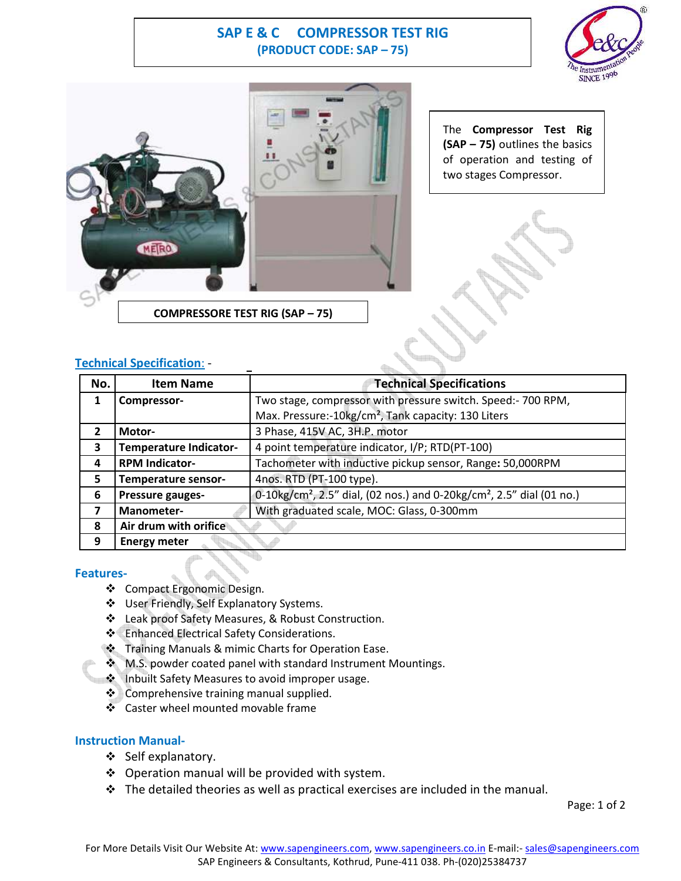# **SAP E & C COMPRESSOR TEST RIG (PRODUCT CODE: SAP – 75)**





The **Compressor Test Rig (SAP – 75)** outlines the basics of operation and testing of two stages Compressor.



## **Technical Specification**: -

| No.            | <b>Item Name</b>              | <b>Technical Specifications</b>                                                               |
|----------------|-------------------------------|-----------------------------------------------------------------------------------------------|
| 1              | Compressor-                   | Two stage, compressor with pressure switch. Speed:- 700 RPM,                                  |
|                |                               | Max. Pressure:-10kg/cm <sup>2</sup> , Tank capacity: 130 Liters                               |
| $\overline{2}$ | Motor-                        | 3 Phase, 415V AC, 3H.P. motor                                                                 |
| 3              | <b>Temperature Indicator-</b> | 4 point temperature indicator, I/P; RTD(PT-100)                                               |
| 4              | <b>RPM Indicator-</b>         | Tachometer with inductive pickup sensor, Range: 50,000RPM                                     |
| 5              | Temperature sensor-           | 4nos. RTD (PT-100 type).                                                                      |
| 6              | Pressure gauges-              | 0-10kg/cm <sup>2</sup> , 2.5" dial, (02 nos.) and 0-20kg/cm <sup>2</sup> , 2.5" dial (01 no.) |
| 7              | Manometer-                    | With graduated scale, MOC: Glass, 0-300mm                                                     |
| 8              | Air drum with orifice         |                                                                                               |
| 9              | <b>Energy meter</b>           |                                                                                               |

### **Features-**

- ❖ Compact Ergonomic Design.
- User Friendly, Self Explanatory Systems.
- Leak proof Safety Measures, & Robust Construction.
- Enhanced Electrical Safety Considerations.
- Training Manuals & mimic Charts for Operation Ease.
- **M.S. powder coated panel with standard Instrument Mountings.**
- Inbuilt Safety Measures to avoid improper usage.
- **❖** Comprehensive training manual supplied.
- ❖ Caster wheel mounted movable frame

## **Instruction Manual-**

- Self explanatory.
- ❖ Operation manual will be provided with system.
- $\cdot \cdot$  The detailed theories as well as practical exercises are included in the manual.

Page: 1 of 2